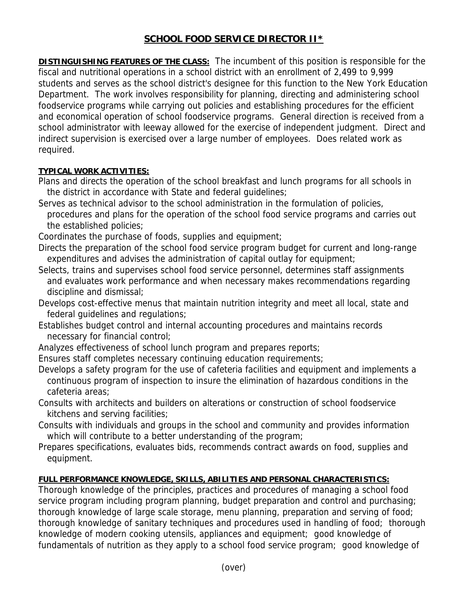# **SCHOOL FOOD SERVICE DIRECTOR II\***

**DISTINGUISHING FEATURES OF THE CLASS:** The incumbent of this position is responsible for the fiscal and nutritional operations in a school district with an enrollment of 2,499 to 9,999 students and serves as the school district's designee for this function to the New York Education Department. The work involves responsibility for planning, directing and administering school foodservice programs while carrying out policies and establishing procedures for the efficient and economical operation of school foodservice programs. General direction is received from a school administrator with leeway allowed for the exercise of independent judgment. Direct and indirect supervision is exercised over a large number of employees. Does related work as required.

## **TYPICAL WORK ACTIVITIES:**

Plans and directs the operation of the school breakfast and lunch programs for all schools in the district in accordance with State and federal guidelines;

Serves as technical advisor to the school administration in the formulation of policies, procedures and plans for the operation of the school food service programs and carries out the established policies;

Coordinates the purchase of foods, supplies and equipment;

Directs the preparation of the school food service program budget for current and long-range expenditures and advises the administration of capital outlay for equipment;

Selects, trains and supervises school food service personnel, determines staff assignments and evaluates work performance and when necessary makes recommendations regarding discipline and dismissal;

Develops cost-effective menus that maintain nutrition integrity and meet all local, state and federal guidelines and regulations;

Establishes budget control and internal accounting procedures and maintains records necessary for financial control;

Analyzes effectiveness of school lunch program and prepares reports;

Ensures staff completes necessary continuing education requirements;

Develops a safety program for the use of cafeteria facilities and equipment and implements a continuous program of inspection to insure the elimination of hazardous conditions in the cafeteria areas;

Consults with architects and builders on alterations or construction of school foodservice kitchens and serving facilities;

Consults with individuals and groups in the school and community and provides information which will contribute to a better understanding of the program;

Prepares specifications, evaluates bids, recommends contract awards on food, supplies and equipment.

## **FULL PERFORMANCE KNOWLEDGE, SKILLS, ABILITIES AND PERSONAL CHARACTERISTICS:**

Thorough knowledge of the principles, practices and procedures of managing a school food service program including program planning, budget preparation and control and purchasing; thorough knowledge of large scale storage, menu planning, preparation and serving of food; thorough knowledge of sanitary techniques and procedures used in handling of food; thorough knowledge of modern cooking utensils, appliances and equipment; good knowledge of fundamentals of nutrition as they apply to a school food service program; good knowledge of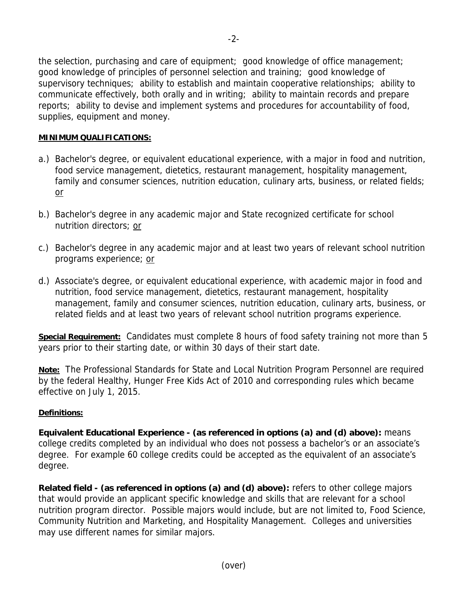the selection, purchasing and care of equipment; good knowledge of office management; good knowledge of principles of personnel selection and training; good knowledge of supervisory techniques; ability to establish and maintain cooperative relationships; ability to communicate effectively, both orally and in writing; ability to maintain records and prepare reports; ability to devise and implement systems and procedures for accountability of food, supplies, equipment and money.

#### **MINIMUM QUALIFICATIONS:**

- a.) Bachelor's degree, or equivalent educational experience, with a major in food and nutrition, food service management, dietetics, restaurant management, hospitality management, family and consumer sciences, nutrition education, culinary arts, business, or related fields; or
- b.) Bachelor's degree in any academic major and State recognized certificate for school nutrition directors; or
- c.) Bachelor's degree in any academic major and at least two years of relevant school nutrition programs experience; or
- d.) Associate's degree, or equivalent educational experience, with academic major in food and nutrition, food service management, dietetics, restaurant management, hospitality management, family and consumer sciences, nutrition education, culinary arts, business, or related fields and at least two years of relevant school nutrition programs experience.

**Special Requirement:** Candidates must complete 8 hours of food safety training not more than 5 years prior to their starting date, or within 30 days of their start date.

**Note:** The Professional Standards for State and Local Nutrition Program Personnel are required by the federal Healthy, Hunger Free Kids Act of 2010 and corresponding rules which became effective on July 1, 2015.

#### **Definitions:**

**Equivalent Educational Experience - (as referenced in options (a) and (d) above):** means college credits completed by an individual who does not possess a bachelor's or an associate's degree. For example 60 college credits could be accepted as the equivalent of an associate's degree.

**Related field - (as referenced in options (a) and (d) above):** refers to other college majors that would provide an applicant specific knowledge and skills that are relevant for a school nutrition program director. Possible majors would include, but are not limited to, Food Science, Community Nutrition and Marketing, and Hospitality Management. Colleges and universities may use different names for similar majors.